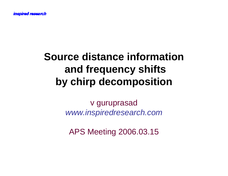#### **Source distance informationand frequency shiftsby chirp decomposition**

v guruprasadwww.inspiredresearch.com

APS Meeting 2006.03.15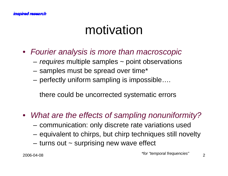### motivation

- Fourier analysis is more than macroscopic
	- $-$  *requires* multiple samples  $\sim$  point observations
	- samples must be spread over time\*
	- perfectly uniform sampling is impossible….

there could be uncorrected systematic errors

- $\bullet$ What are the effects of sampling nonuniformity?
	- communication: only discrete rate variations used
	- equivalent to chirps, but chirp techniques still novelty
	- turns out ~ surprising new wave effect

 $8$  control temporal nequencies  $2$ \*for "temporal frequencies"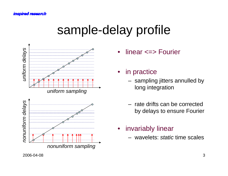# sample-delay profile



- •linear <=> Fourier
- in practice
	- sampling jitters annulled by long integration
	- rate drifts can be corrected by delays to ensure Fourier
- invariably linear
	- wavelets: static time scales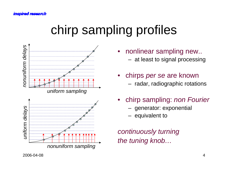# chirp sampling profiles



- • nonlinear sampling new.. at least to signal processing
- •chirps *per se* are known radar, radiographic rotations
- • chirp sampling: non Fourier
	- generator: exponential
	- equivalent to

continuously turningthe tuning knob…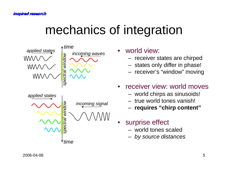## mechanics of integration



•world view:

- receiver states are chirped
- etates only differ in nhase \_\_ states only differ in phase!
- receiver's "window" moving
- • receiver view: world moves
	- world chirps as sinusoids!
	- true world tones vanish!
	- **requires "chirp content"**
- $\bullet$  surprise effect
	- world tones scaled
	- by source distances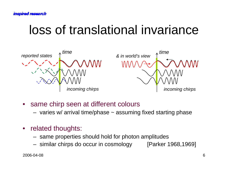## loss of translational invariance



- • same chirp seen at different colours
	- varies w/ arrival time/phase  $\sim$  assuming fixed starting phase
- $\bullet$  related thoughts:
	- same properties should hold for photon amplitudes
	- [Parker 1968,1969] similar chirps do occur in cosmology [Parker 1968,1969]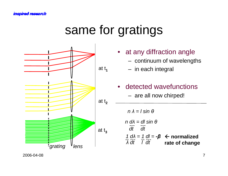## same for gratings





2006-04-08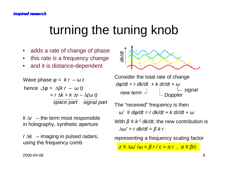# turning the tuning knob

- •adds a rate of change of phase
- this rate is a frequency change  $\bullet$
- •and it is distance-dependent

Wave phase 
$$
\varphi = kr - \omega t
$$

\nhence  $\Delta \varphi = \Delta (kr - \omega t)$ 

\n $= r \Delta k + k \Delta r - \Delta (\omega t)$ 

\nspace part  $\text{signal part}$ 

 $k \Delta r$  – the term most responsible in holography, synthetic aperture

 $r \Delta k$  – imaging in pulsed radars, using the frequency comb



Consider the total rate of change  $d\varphi/dt = r \, dk/dt + k \, dr/dt + \omega$ signal**Doppler** new term  $\overline{\phantom{a}}$ 

 $ω' \equiv d\varphi/dt = r$  dk/d $t$  + k dr/d $t$  +  $ω$ The "received" frequency is then

With  $\beta \equiv k^{\prime\prime}$  dk/dt, the new contribution is  $\Delta \omega' = r \, dk/dt = \beta \, k \, r$ 

representing a frequency scaling factor

 $z$  ≡ ∆ω' / $\omega$  = β r /  $c$  = α r , α ≡ β/ $c$ 

2006-04-08<sup>8</sup>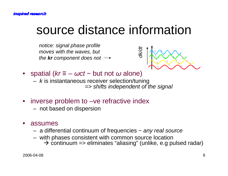## source distance information

notice: signal phase profile<br>moves with the waves, but<br>the **kr** component does not →



- spatial ( $kr \equiv -\omega ct \sim b$ ut not  $\omega$  alone)<br>– kis instantaneous receiver selection/tup
	- $k$  is instantaneous receiver selection/tuning => shifts independent of the signal
- inverse problem to –ve refractive index
	- not based on dispersion
- • assumes
	- a ditta a differential continuum of frequencies  $\sim$  any real source
	- with phases consistent with common source location
		- continuum => eliminates "aliasing" (unlike, e.g pulsed radar)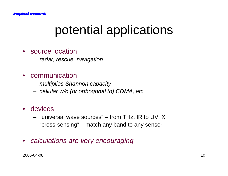# potential applications

#### • source location

– radar roscuo  $-$  radar, rescue, navigation

#### • communication

- multinlias Sh: \_  $-$  multiplies Shannon capacity
- $-$  cellular w/o (or orthogonal to) CDMA, etc.

#### • devices

- "universal wave sources" from THz, IR to UV, X
- $-$  "cross-sansing"  $-$  match any hand to any sansor "cross-sensing" – match any band to any sensor
- $\bullet$ calculations are very encouraging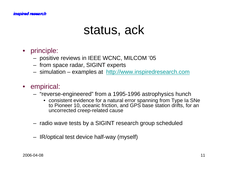#### *inspired research*

#### status, ack

- principle:
	- positive reviews in IEEE WCNC, MILCOM '05
	- from space radar, SIGINT experts
	- $-$  cimulation  $-$  evamples at  $\frac{\hbar}{\hbar}$  http://w simulation – examples at http://www.inspiredresearch.com

#### • empirical:

- "reverse-engineered" from a 1995-1996 astrophysics hunch
	- $\bullet$  -consistent evidence tor a natural error snanning trom Type Ia to Pioneer 10, oceanic friction, and GPS base station drifts, for an uncorrected creep-related cause
- radio wave tests by a SIGINT research group scheduled
- IR/optical test device half-way (myself)